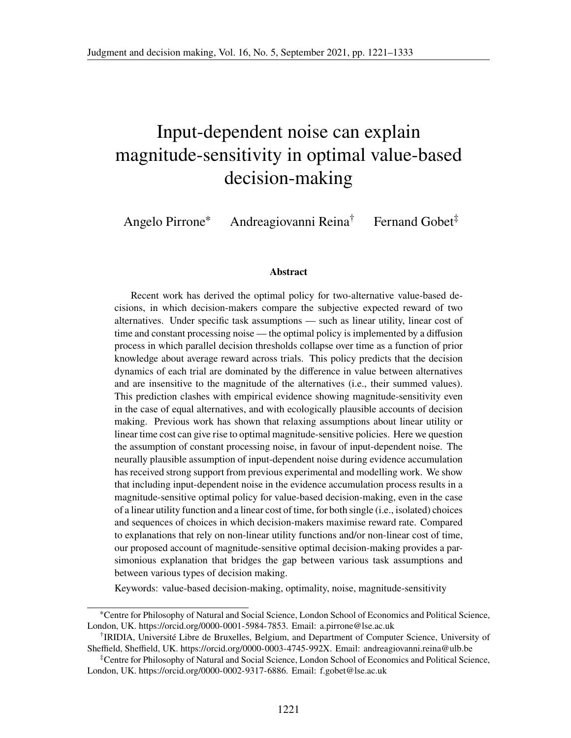# Input-dependent noise can explain magnitude-sensitivity in optimal value-based decision-making

Angelo Pirrone<sup>∗</sup> Andreagiovanni Reina† Fernand Gobet‡

#### **Abstract**

Recent work has derived the optimal policy for two-alternative value-based decisions, in which decision-makers compare the subjective expected reward of two alternatives. Under specific task assumptions — such as linear utility, linear cost of time and constant processing noise — the optimal policy is implemented by a diffusion process in which parallel decision thresholds collapse over time as a function of prior knowledge about average reward across trials. This policy predicts that the decision dynamics of each trial are dominated by the difference in value between alternatives and are insensitive to the magnitude of the alternatives (i.e., their summed values). This prediction clashes with empirical evidence showing magnitude-sensitivity even in the case of equal alternatives, and with ecologically plausible accounts of decision making. Previous work has shown that relaxing assumptions about linear utility or linear time cost can give rise to optimal magnitude-sensitive policies. Here we question the assumption of constant processing noise, in favour of input-dependent noise. The neurally plausible assumption of input-dependent noise during evidence accumulation has received strong support from previous experimental and modelling work. We show that including input-dependent noise in the evidence accumulation process results in a magnitude-sensitive optimal policy for value-based decision-making, even in the case of a linear utility function and a linear cost of time, for both single (i.e., isolated) choices and sequences of choices in which decision-makers maximise reward rate. Compared to explanations that rely on non-linear utility functions and/or non-linear cost of time, our proposed account of magnitude-sensitive optimal decision-making provides a parsimonious explanation that bridges the gap between various task assumptions and between various types of decision making.

Keywords: value-based decision-making, optimality, noise, magnitude-sensitivity

<sup>∗</sup>Centre for Philosophy of Natural and Social Science, London School of Economics and Political Science, London, UK. [https://orcid.org/0000-0001-5984-7853.](https://orcid.org/0000-0001-5984-7853) Email: a.pirrone@lse.ac.uk

<sup>†</sup> IRIDIA, Université Libre de Bruxelles, Belgium, and Department of Computer Science, University of Sheffield, Sheffield, UK. [https://orcid.org/0000-0003-4745-992X.](https://orcid.org/0000-0003-4745-992X) Email: andreagiovanni.reina@ulb.be

<sup>‡</sup>Centre for Philosophy of Natural and Social Science, London School of Economics and Political Science, London, UK. [https://orcid.org/0000-0002-9317-6886.](https://orcid.org/0000-0002-9317-6886) Email: f.gobet@lse.ac.uk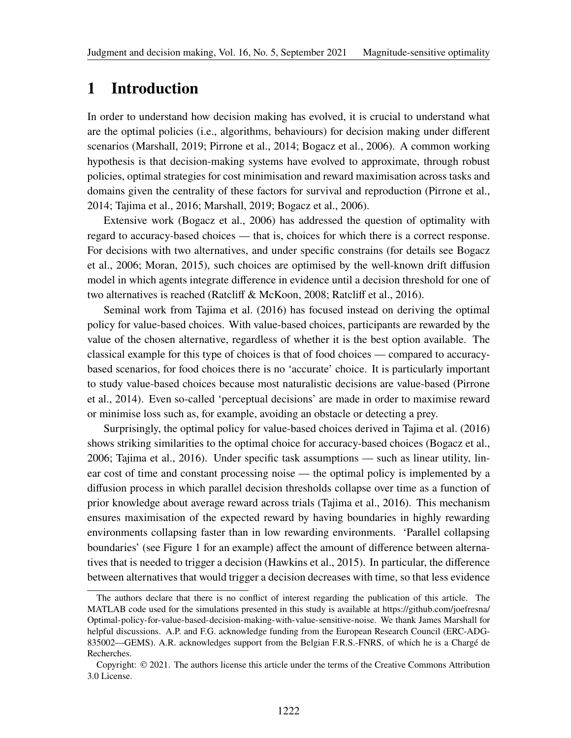# **1 Introduction**

In order to understand how decision making has evolved, it is crucial to understand what are the optimal policies (i.e., algorithms, behaviours) for decision making under different scenarios [\(Marshall](#page-11-0), [2019](#page-11-0); [Pirrone et al.](#page-12-0), [2014;](#page-12-0) [Bogacz et al., 2006\)](#page-10-0). A common working hypothesis is that decision-making systems have evolved to approximate, through robust policies, optimal strategies for cost minimisation and reward maximisation across tasks and domains given the centrality of these factors for survival and reproduction [\(Pirrone et al.,](#page-12-0) [2014;](#page-12-0) [Tajima et al., 2016;](#page-12-1) [Marshall](#page-11-0), [2019](#page-11-0); [Bogacz et al.](#page-10-0), [2006](#page-10-0)).

Extensive work [\(Bogacz et al.](#page-10-0), [2006\)](#page-10-0) has addressed the question of optimality with regard to accuracy-based choices — that is, choices for which there is a correct response. For [decisions with two alternatives, and under specific constrains \(for details see](#page-10-0) Bogacz et al., [2006;](#page-10-0) [Moran, 2015](#page-12-2)), such choices are optimised by the well-known drift diffusion model in which agents integrate difference in evidence until a decision threshold for one of two alternatives is reached [\(Ratcliff & McKoon](#page-12-3), [2008;](#page-12-3) [Ratcliff et al.](#page-12-4), [2016](#page-12-4)).

Seminal work from [Tajima et al. \(2016](#page-12-1)) has focused instead on deriving the optimal policy for value-based choices. With value-based choices, participants are rewarded by the value of the chosen alternative, regardless of whether it is the best option available. The classical example for this type of choices is that of food choices — compared to accuracybased scenarios, for food choices there is no 'accurate' choice. It is particularly important to st[udy value-based choices because most naturalistic decisions are value-based \(](#page-12-0)Pirrone et al., [2014](#page-12-0)). Even so-called 'perceptual decisions' are made in order to maximise reward or minimise loss such as, for example, avoiding an obstacle or detecting a prey.

Surprisingly, the optimal policy for value-based choices derived in [Tajima et al. \(2016\)](#page-12-1) shows striking similarities to the optimal choice for accuracy-based choices [\(Bogacz et al.,](#page-10-0) [2006;](#page-10-0) [Tajima et al., 2016\)](#page-12-1). Under specific task assumptions — such as linear utility, linear cost of time and constant processing noise — the optimal policy is implemented by a diffusion process in which parallel decision thresholds collapse over time as a function of prior knowledge about average reward across trials [\(Tajima](#page-12-1) et al., [2016\)](#page-12-1). This mechanism ensures maximisation of the expected reward by having boundaries in highly rewarding environments collapsing faster than in low rewarding environments. 'Parallel collapsing boundaries' (see Figure [1](#page-3-0) for an example) affect the amount of difference between alternatives that is needed to trigger a decision [\(Hawkins et al., 2015](#page-11-1)). In particular, the difference between alternatives that would trigger a decision decreases with time, so that less evidence

The authors declare that there is no conflict of interest regarding the publication of this article. The MATLAB code used for the simulations presented in this study is available at [https://github.com/joefresna/](https://github.com/joefresna/Optimal-policy-for-value-based-decision-making-with-value-sensitive-noise) [Optimal-policy-for-value-based-decision-making-with-value-sensitive-noise.](https://github.com/joefresna/Optimal-policy-for-value-based-decision-making-with-value-sensitive-noise) We thank James Marshall for helpful discussions. A.P. and F.G. acknowledge funding from the European Research Council (ERC-ADG-835002—GEMS). A.R. acknowledges support from the Belgian F.R.S.-FNRS, of which he is a Chargé de Recherches.

Copyright: © [2021. The authors license this article under the terms of the](http://creativecommons.org/licenses/by/3.0/) Creative Commons Attribution 3.0 License.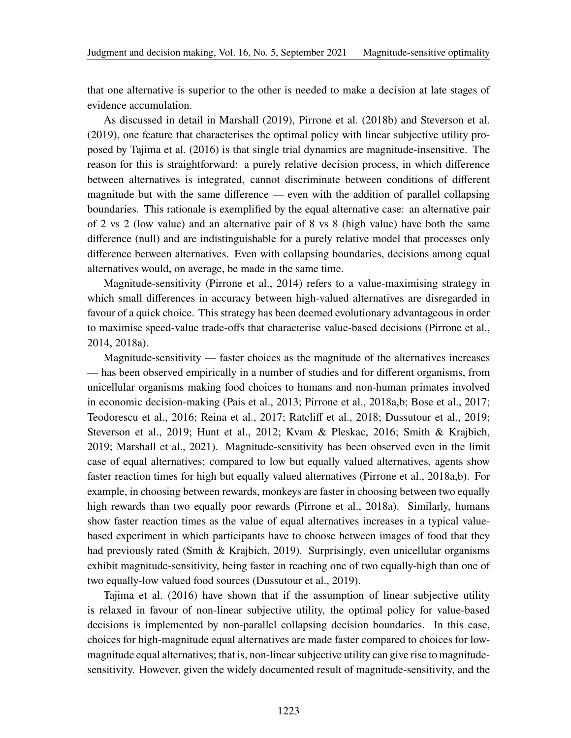that one alternative is superior to the other is needed to make a decision at late stages of evidence accumulation.

As discussed in detail in [Marshall](#page-11-0) [\(2019\)](#page-11-0), [Pirrone et al. \(2018b](#page-12-5)) and [Steverson et al.](#page-12-6) [\(2019](#page-12-6)), one feature that characterises the optimal policy with linear subjective utility proposed by [Tajima et al. \(2016\)](#page-12-1) is that single trial dynamics are magnitude-insensitive. The reason for this is straightforward: a purely relative decision process, in which difference between alternatives is integrated, cannot discriminate between conditions of different magnitude but with the same difference — even with the addition of parallel collapsing boundaries. This rationale is exemplified by the equal alternative case: an alternative pair of 2 vs 2 (low value) and an alternative pair of 8 vs 8 (high value) have both the same difference (null) and are indistinguishable for a purely relative model that processes only difference between alternatives. Even with collapsing boundaries, decisions among equal alternatives would, on average, be made in the same time.

Magnitude-sensitivity [\(Pirrone et al.](#page-12-0), [2014\)](#page-12-0) refers to a value-maximising strategy in which small differences in accuracy between high-valued alternatives are disregarded in favour of a quick choice. This strategy has been deemed evolutionary advantageous in order to maximise speed-value trade-offs that characterise value-based decisions [\(Pirrone et al.,](#page-12-0) [2014,](#page-12-0) [2018a\)](#page-12-7).

Magnitude-sensitivity — faster choices as the magnitude of the alternatives increases — has been observed empirically in a number of studies and for different organisms, from unicellular organisms making food choices to humans and non-human primates involved in economic decision-making [\(Pais et al.](#page-12-8), [2013](#page-12-8); [Pirrone et al., 2018a](#page-12-7)[,b](#page-12-5); [Bose et al., 2017](#page-10-1); [Teodorescu et al., 2016](#page-12-9); [Reina et al., 2017;](#page-12-10) [Ratcliff et al., 2018;](#page-12-11) [Dussutour et al.](#page-11-2), [2019](#page-11-2); [Steverson et al., 2019;](#page-12-6) [Hunt et al.](#page-11-3), [2012](#page-11-3); [Kvam & Pleskac](#page-11-4), [2016](#page-11-4); [Smith & Krajbich,](#page-12-12) [2019;](#page-12-12) [Marshall et al.](#page-11-5), [2021](#page-11-5)). Magnitude-sensitivity has been observed even in the limit case of equal alternatives; compared to low but equally valued alternatives, agents show faster reaction times for high but equally valued alternatives [\(Pirrone et al.](#page-12-7), [2018a](#page-12-7)[,b\)](#page-12-5). For example, in choosing between rewards, monkeys are faster in choosing between two equally high rewards than two equally poor rewards [\(Pirrone et al., 2018a](#page-12-7)). Similarly, humans show faster reaction times as the value of equal alternatives increases in a typical valuebased experiment in which participants have to choose between images of food that they had previously rated [\(Smith & Krajbich, 2019](#page-12-12)). Surprisingly, even unicellular organisms exhibit magnitude-sensitivity, being faster in reaching one of two equally-high than one of [two equally-low v](#page-12-1)alued food sources [\(Dussutour et al.](#page-11-2), [2019](#page-11-2)).

Tajima et al. [\(2016\)](#page-12-1) have shown that if the assumption of linear subjective utility is relaxed in favour of non-linear subjective utility, the optimal policy for value-based decisions is implemented by non-parallel collapsing decision boundaries. In this case, choices for high-magnitude equal alternatives are made faster compared to choices for lowmagnitude equal alternatives; that is, non-linear subjective utility can give rise to magnitudesensitivity. However, given the widely documented result of magnitude-sensitivity, and the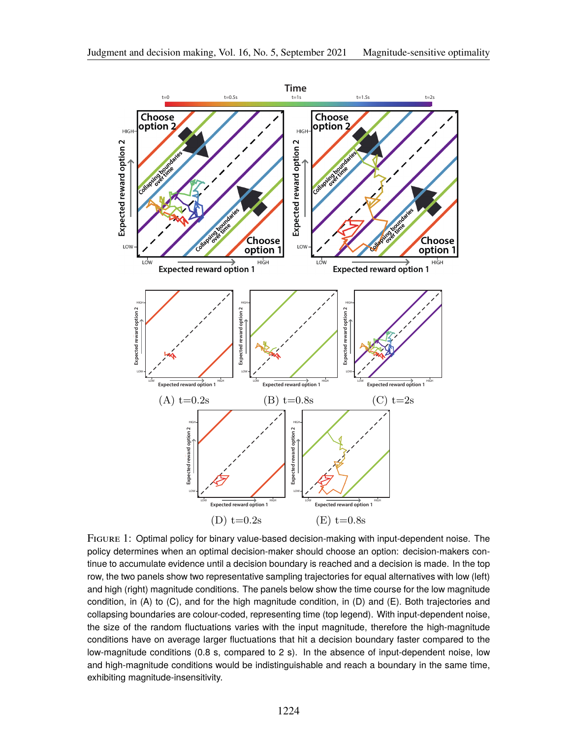<span id="page-3-0"></span>

Figure 1: Optimal policy for binary value-based decision-making with input-dependent noise. The policy determines when an optimal decision-maker should choose an option: decision-makers continue to accumulate evidence until a decision boundary is reached and a decision is made. In the top row, the two panels show two representative sampling trajectories for equal alternatives with low (left) and high (right) magnitude conditions. The panels below show the time course for the low magnitude condition, in (A) to (C), and for the high magnitude condition, in (D) and (E). Both trajectories and collapsing boundaries are colour-coded, representing time (top legend). With input-dependent noise, the size of the random fluctuations varies with the input magnitude, therefore the high-magnitude conditions have on average larger fluctuations that hit a decision boundary faster compared to the low-magnitude conditions (0.8 s, compared to 2 s). In the absence of input-dependent noise, low and high-magnitude conditions would be indistinguishable and reach a boundary in the same time, exhibiting magnitude-insensitivity.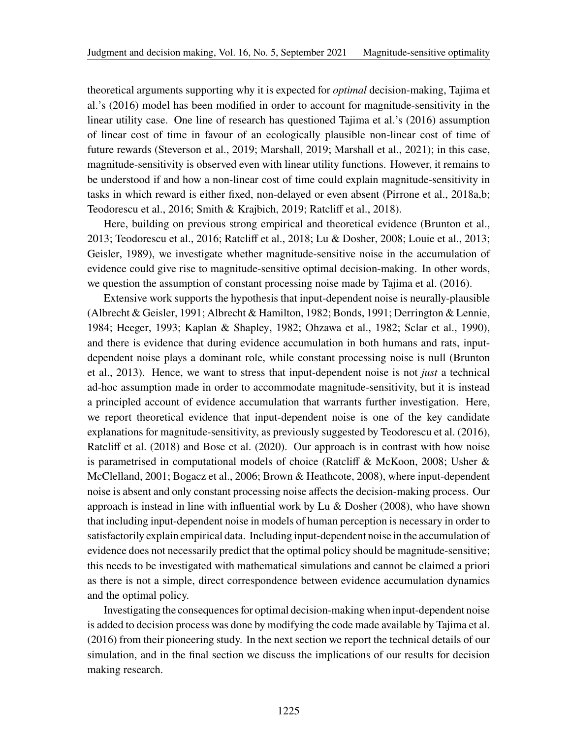theoretical arguments supporting why it is expected for *optimal* decision-making, Tajima et al.'s [\(2016\)](#page-12-1) model has been modified in order to account for magnitude-sensitivity in the linear utility case. One line of research has questioned Tajima et al.'s [\(2016](#page-12-1)) assumption of linear cost of time in favour of an ecologically plausible non-linear cost of time of future rewards [\(Steverson et al., 2019;](#page-12-6) [Marshall](#page-11-0), [2019](#page-11-0); [Marshall et al.](#page-11-5), [2021](#page-11-5)); in this case, magnitude-sensitivity is observed even with linear utility functions. However, it remains to be understood if and how a non-linear cost of time could explain magnitude-sensitivity in tasks in which reward is either fixed, non-delayed or even absent [\(Pirrone et al., 2018a](#page-12-7)[,b](#page-12-5); [Teodorescu et al., 2016](#page-12-9); [Smith & Krajbich, 2019;](#page-12-12) [Ratcliff et al.](#page-12-11), [2018](#page-12-11)).

Here, building on previous strong empirical and theoretical evidence [\(Brunton et al.,](#page-11-6) [2013;](#page-11-6) [Teodorescu et al., 2016;](#page-12-9) [Ratcliff et al., 2018;](#page-12-11) [Lu & Dosher](#page-11-7), [2008;](#page-11-7) [Louie et al.](#page-11-8), [2013](#page-11-8); [Geisler](#page-11-9), [1989](#page-11-9)), we investigate whether magnitude-sensitive noise in the accumulation of evidence could give rise to magnitude-sensitive optimal decision-making. In other words, we question the assumption of constant processing noise made by [Tajima et al. \(2016\)](#page-12-1).

Extensive work supports the hypothesis that input-dependent noise is neurally-plausible [\(Albrecht & Geisler, 1991;](#page-10-2) [Albrecht & Hamilton, 1982;](#page-10-3) [Bonds,](#page-10-4) [1991](#page-10-4); [Derrington & Lennie,](#page-11-10) [1984;](#page-11-10) [Heeger](#page-11-11), [1993;](#page-11-11) [Kaplan & Shapley, 1982](#page-11-12); [Ohzawa et al.](#page-12-13), [1982](#page-12-13); [Sclar et al.](#page-12-14), [1990\)](#page-12-14), and there is evidence that during evidence accumulation in both humans and rats, inputdepe[ndent noise plays a dominant role, while constant processing noise is null \(](#page-11-6)Brunton et al., [2013\)](#page-11-6). Hence, we want to stress that input-dependent noise is not *just* a technical ad-hoc assumption made in order to accommodate magnitude-sensitivity, but it is instead a principled account of evidence accumulation that warrants further investigation. Here, we report theoretical evidence that input-dependent noise is one of the key candidate explanations for magnitude-sensitivity, as previously suggested by [Teodorescu et al. \(2016\)](#page-12-9), [Ratcliff et al. \(2018\)](#page-12-11) and [Bose et al. \(2020](#page-10-5)). Our approach is in contrast with how noise is parametr[ised in computational models of choice](#page-12-15) [\(Ratcliff &](#page-12-3) McKoon, [2008](#page-12-3); Usher & McClelland, [2001;](#page-12-15) [Bogacz et al., 2006](#page-10-0); [Brown & Heathcote](#page-11-13), [2008\)](#page-11-13), where input-dependent noise is absent and only constant processing noise affects the decision-making process. Our approach is instead in line with influential work by Lu  $\&$  Dosher (2008), who have shown that including input-dependent noise in models of human perception is necessary in order to satisfactorily explain empirical data. Including input-dependent noise in the accumulation of evidence does not necessarily predict that the optimal policy should be magnitude-sensitive; this needs to be investigated with mathematical simulations and cannot be claimed a priori as there is not a simple, direct correspondence between evidence accumulation dynamics and the optimal policy.

Investigating the consequences for optimal decision-making when input-dependent noise is added to decision process was done by modifying the code made available by [Tajima et al.](#page-12-1) [\(2016](#page-12-1)) from their pioneering study. In the next section we report the technical details of our simulation, and in the final section we discuss the implications of our results for decision making research.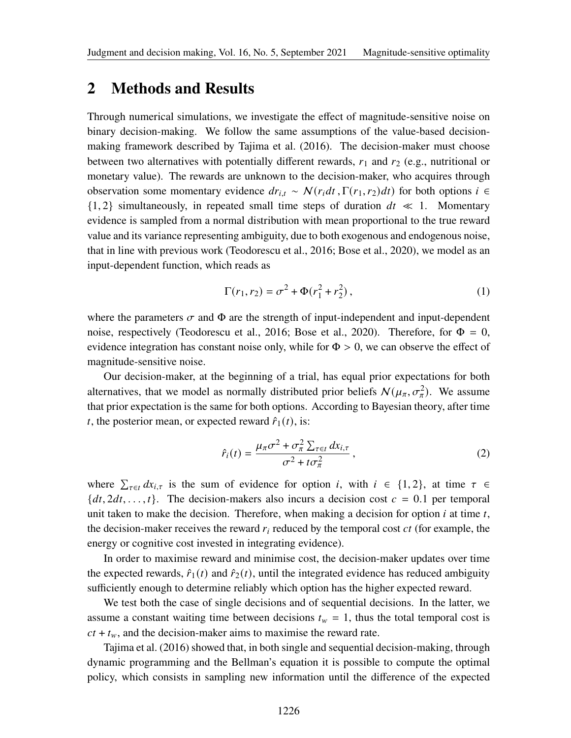### **2 Methods and Results**

Through numerical simulations, we investigate the effect of magnitude-sensitive noise on binary decision-making. We follow the same assumptions of the value-based decisionmaking framework described by [Tajima et al.](#page-12-1) [\(2016](#page-12-1)). The decision-maker must choose between two alternatives with potentially different rewards,  $r_1$  and  $r_2$  (e.g., nutritional or monetary value). The rewards are unknown to the decision-maker, who acquires through observation some momentary evidence  $dr_{i,t} \sim \mathcal{N}(r_i dt, \Gamma(r_1, r_2) dt)$  for both options  $i \in$  $\{1, 2\}$  simultaneously, in repeated small time steps of duration  $dt \ll 1$ . Momentary evidence is sampled from a normal distribution with mean proportional to the true reward value and its variance representing ambiguity, due to both exogenous and endogenous noise, that in line with previous work [\(Teodorescu et al., 2016;](#page-12-9) [Bose](#page-10-5) et al., [2020](#page-10-5)), we model as an input-dependent function, which reads as

$$
\Gamma(r_1, r_2) = \sigma^2 + \Phi(r_1^2 + r_2^2), \qquad (1)
$$

where the parameters  $\sigma$  and  $\Phi$  are the strength of input-independent and input-dependent noise, respectively [\(Teodorescu et al., 2016](#page-12-9); [Bose et al.](#page-10-5), [2020\)](#page-10-5). Therefore, for  $\Phi = 0$ , evidence integration has constant noise only, while for  $\Phi > 0$ , we can observe the effect of magnitude-sensitive noise.

Our decision-maker, at the beginning of a trial, has equal prior expectations for both alternatives, that we model as normally distributed prior beliefs  $\mathcal{N}(\mu_{\pi}, \sigma_{\pi}^2)$ . We assume that prior expectation is the same for both options. According to Bayesian theory, after time *t*, the posterior mean, or expected reward  $\hat{r}_1(t)$ , is:

$$
\hat{r}_i(t) = \frac{\mu_\pi \sigma^2 + \sigma_\pi^2 \sum_{\tau \in t} dx_{i,\tau}}{\sigma^2 + t \sigma_\pi^2},\tag{2}
$$

where  $\sum_{\tau \in i} dx_{i,\tau}$  is the sum of evidence for option *i*, with  $i \in \{1,2\}$ , at time  $\tau \in$  ${dt, 2dt, ..., t}$ . The decision-makers also incurs a decision cost  $c = 0.1$  per temporal unit taken to make the decision. Therefore, when making a decision for option  $i$  at time  $t$ , the decision-maker receives the reward  $r_i$  reduced by the temporal cost  $ct$  (for example, the energy or cognitive cost invested in integrating evidence).

In order to maximise reward and minimise cost, the decision-maker updates over time the expected rewards,  $\hat{r}_1(t)$  and  $\hat{r}_2(t)$ , until the integrated evidence has reduced ambiguity sufficiently enough to determine reliably which option has the higher expected reward.

We test both the case of single decisions and of sequential decisions. In the latter, we assume a constant waiting time between decisions  $t_w = 1$ , thus the total temporal cost is  $ct + t_w$ [, and the](#page-12-1) decision-maker aims to maximise the reward rate.

Tajima et al. [\(2016\)](#page-12-1) showed that, in both single and sequential decision-making, through dynamic programming and the Bellman's equation it is possible to compute the optimal policy, which consists in sampling new information until the difference of the expected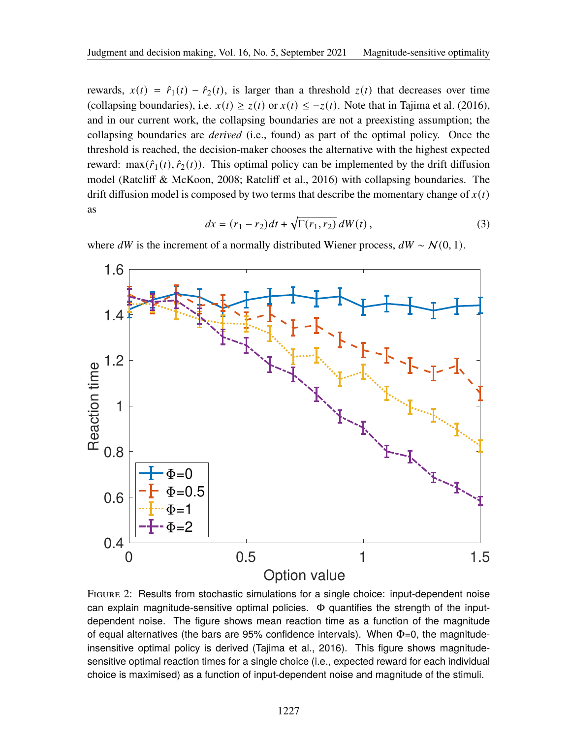rewards,  $x(t) = \hat{r}_1(t) - \hat{r}_2(t)$ , is larger than a threshold  $z(t)$  that decreases over time (collapsing boundaries), i.e.  $x(t) \ge z(t)$  or  $x(t) \le -z(t)$ . Note that in [Tajima et al. \(2016\)](#page-12-1), and in our current work, the collapsing boundaries are not a preexisting assumption; the collapsing boundaries are *derived* (i.e., found) as part of the optimal policy. Once the threshold is reached, the decision-maker chooses the alternative with the highest expected reward: max $(\hat{r}_1(t), \hat{r}_2(t))$ . This optimal policy can be implemented by the drift diffusion model [\(Ratcliff & McKoon](#page-12-3), [2008;](#page-12-3) [Ratcliff et al., 2016\)](#page-12-4) with collapsing boundaries. The drift diffusion model is composed by two terms that describe the momentary change of  $x(t)$ as

$$
dx = (r_1 - r_2)dt + \sqrt{\Gamma(r_1, r_2)} dW(t), \qquad (3)
$$

<span id="page-6-0"></span>where  $dW$  is the increment of a normally distributed Wiener process,  $dW \sim \mathcal{N}(0, 1)$ .



Figure 2: Results from stochastic simulations for a single choice: input-dependent noise can explain magnitude-sensitive optimal policies.  $\Phi$  quantifies the strength of the inputdependent noise. The figure shows mean reaction time as a function of the magnitude of equal alternatives (the bars are 95% confidence intervals). When  $\Phi$ =0, the magnitudeinsensitive optimal policy is derived [\(Tajima et al., 2016](#page-12-1)). This figure shows magnitudesensitive optimal reaction times for a single choice (i.e., expected reward for each individual choice is maximised) as a function of input-dependent noise and magnitude of the stimuli.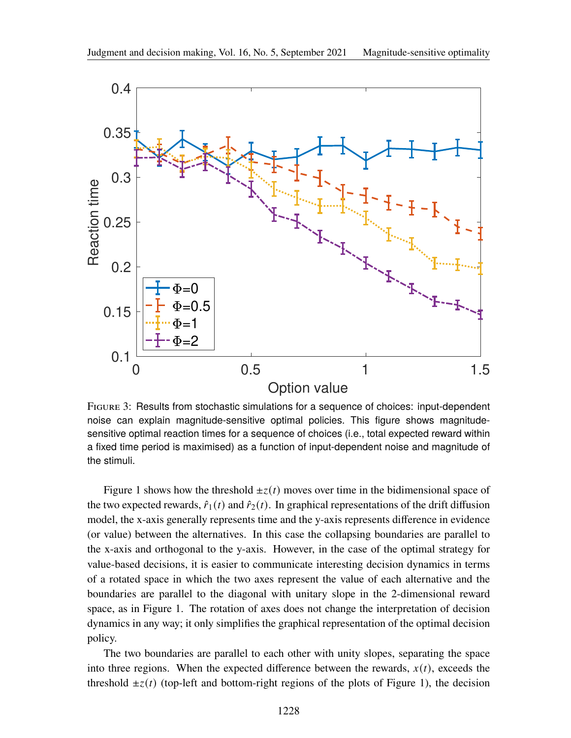<span id="page-7-0"></span>

Figure 3: Results from stochastic simulations for a sequence of choices: input-dependent noise can explain magnitude-sensitive optimal policies. This figure shows magnitudesensitive optimal reaction times for a sequence of choices (i.e., total expected reward within a fixed time period is maximised) as a function of input-dependent noise and magnitude of the stimuli.

Figure [1](#page-3-0) shows how the threshold  $\pm z(t)$  moves over time in the bidimensional space of the two expected rewards,  $\hat{r}_1(t)$  and  $\hat{r}_2(t)$ . In graphical representations of the drift diffusion model, the x-axis generally represents time and the y-axis represents difference in evidence (or value) between the alternatives. In this case the collapsing boundaries are parallel to the x-axis and orthogonal to the y-axis. However, in the case of the optimal strategy for value-based decisions, it is easier to communicate interesting decision dynamics in terms of a rotated space in which the two axes represent the value of each alternative and the boundaries are parallel to the diagonal with unitary slope in the 2-dimensional reward space, as in Figure [1.](#page-3-0) The rotation of axes does not change the interpretation of decision dynamics in any way; it only simplifies the graphical representation of the optimal decision policy.

The two boundaries are parallel to each other with unity slopes, separating the space into three regions. When the expected difference between the rewards,  $x(t)$ , exceeds the threshold  $\pm z(t)$  (top-left and bottom-right regions of the plots of Figure [1\)](#page-3-0), the decision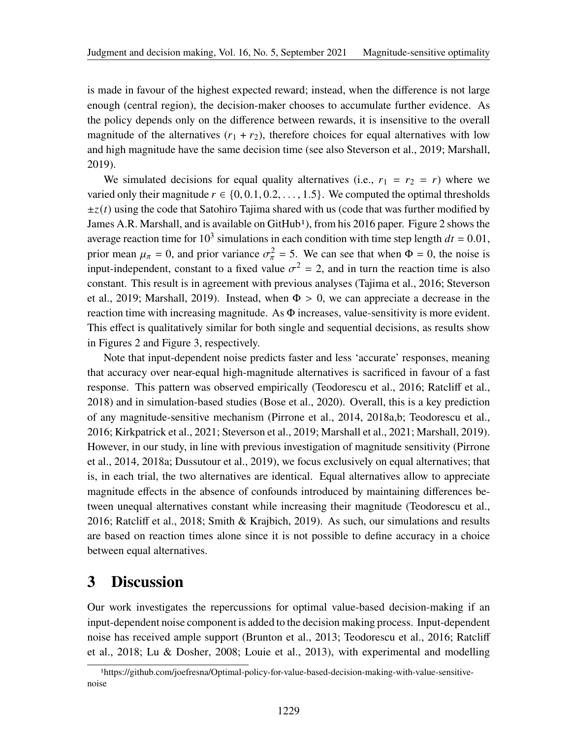is made in favour of the highest expected reward; instead, when the difference is not large enough (central region), the decision-maker chooses to accumulate further evidence. As the policy depends only on the difference between rewards, it is insensitive to the overall magnitude of the alternatives  $(r_1 + r_2)$ , therefore choices for equal alternatives with low and high magnitude have the same decision time (see also [Steverson et al.](#page-12-6), [2019;](#page-12-6) [Marshall,](#page-11-0) [2019\)](#page-11-0).

We simulated decisions for equal quality alternatives (i.e.,  $r_1 = r_2 = r$ ) where we varied only their magnitude  $r \in \{0, 0.1, 0.2, \ldots, 1.5\}$ . We computed the optimal thresholds  $\pm z(t)$  using the code that Satohiro Tajima shared with us (code that was further modified by James A.R. Marshall, and is available on GitHub<sup>1</sup>), from his [2](#page-6-0)016 paper. Figure 2 shows the average reaction time for 10<sup>3</sup> simulations in each condition with time step length  $dt = 0.01$ , prior mean  $\mu_{\pi} = 0$ , and prior variance  $\sigma_{\pi}^2 = 5$ . We can see that when  $\Phi = 0$ , the noise is input-independent, constant to a fixed value  $\sigma^2 = 2$ , and in turn the reaction time is also cons[tant. This result is in agreement with previous analyses](#page-12-6) [\(Tajima et al.](#page-12-1)[,](#page-12-6) [2016](#page-12-1)[;](#page-12-6) Steverson et al., [2019](#page-12-6); [Marshall](#page-11-0), [2019\)](#page-11-0). Instead, when  $\Phi > 0$ , we can appreciate a decrease in the reaction time with increasing magnitude. As  $\Phi$  increases, value-sensitivity is more evident. This effect is qualitatively similar for both single and sequential decisions, as results show in Figures [2](#page-6-0) and Figure [3,](#page-7-0) respectively.

Note that input-dependent noise predicts faster and less 'accurate' responses, meaning that accuracy over near-equal high-magnitude alternatives is sacrificed in favour of a fast response. This pattern was observed empirically [\(Teodorescu et al.](#page-12-9), [2016;](#page-12-9) [Ratcliff et al.,](#page-12-11) [2018\)](#page-12-11) and in simulation-based studies [\(Bose et al.](#page-10-5), [2020](#page-10-5)). Overall, this is a key prediction of any magnitude-sensitive mechanism [\(Pirrone et al.](#page-12-0), [2014](#page-12-0), [2018a](#page-12-7)[,b;](#page-12-5) [Teodorescu et al.,](#page-12-9) [2016;](#page-12-9) [Kirkpatrick et al.](#page-11-14), [2021;](#page-11-14) [Steverson et al.](#page-12-6), [2019;](#page-12-6) [Marshall et al., 2021](#page-11-5); [Marshall](#page-11-0), [2019\)](#page-11-0). How[ever, in our study, in line with previous investigation of magnitude sensitivity \(](#page-12-0)Pirrone et al., [2014](#page-12-0), [2018a;](#page-12-7) [Dussutour et al., 2019\)](#page-11-2), we focus exclusively on equal alternatives; that is, in each trial, the two alternatives are identical. Equal alternatives allow to appreciate magnitude effects in the absence of confounds introduced by maintaining differences between unequal alternatives constant while increasing their magnitude [\(Teodorescu et al.,](#page-12-9) [2016;](#page-12-9) [Ratcliff et al., 2018;](#page-12-11) [Smith & Krajbich](#page-12-12), [2019](#page-12-12)). As such, our simulations and results are based on reaction times alone since it is not possible to define accuracy in a choice between equal alternatives.

## **3 Discussion**

Our work investigates the repercussions for optimal value-based decision-making if an input-dependent noise component is added to the decision making process. Input-dependent nois[e has received ample support](#page-12-11) [\(Brunton et al.](#page-11-6)[,](#page-12-11) [2013](#page-11-6)[;](#page-12-11) [Teodorescu et al.](#page-12-9)[,](#page-12-11) [2016;](#page-12-9) Ratcliff et al., [2018;](#page-12-11) [Lu & Dosher, 2008;](#page-11-7) [Louie et al., 2013](#page-11-8)), with experimental and modelling

<sup>1</sup>https://github.com/joefresna/Optimal-policy-for-value-based-decision-making-with-value-sensitivenoise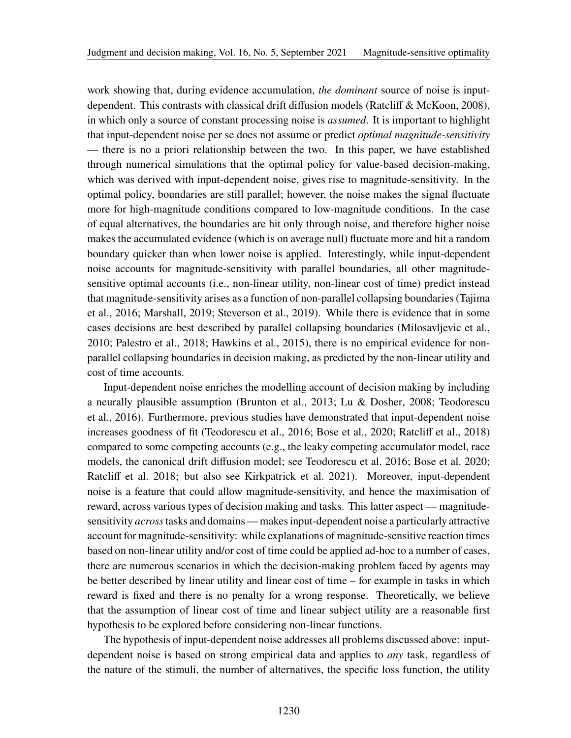work showing that, during evidence accumulation, *the dominant* source of noise is inputdependent. This contrasts with classical drift diffusion models [\(Ratcliff & McKoon, 2008\)](#page-12-3), in which only a source of constant processing noise is *assumed*. It is important to highlight that input-dependent noise per se does not assume or predict *optimal magnitude-sensitivity* — there is no a priori relationship between the two. In this paper, we have established through numerical simulations that the optimal policy for value-based decision-making, which was derived with input-dependent noise, gives rise to magnitude-sensitivity. In the optimal policy, boundaries are still parallel; however, the noise makes the signal fluctuate more for high-magnitude conditions compared to low-magnitude conditions. In the case of equal alternatives, the boundaries are hit only through noise, and therefore higher noise makes the accumulated evidence (which is on average null) fluctuate more and hit a random boundary quicker than when lower noise is applied. Interestingly, while input-dependent noise accounts for magnitude-sensitivity with parallel boundaries, all other magnitudesensitive optimal accounts (i.e., non-linear utility, non-linear cost of time) predict instead that [magnitude-sensitivity arises as a function of non-parallel collapsing boundaries \(](#page-12-1)Tajima et al., [2016](#page-12-1); [Marshall, 2019;](#page-11-0) [Steverson et al., 2019](#page-12-6)). While there is evidence that in some cases decisions are best described by parallel collapsing boundaries [\(Milosavljevic et al.,](#page-11-15) [2010;](#page-11-15) [Palestro et al., 2018](#page-12-16); [Hawkins et al., 2015\)](#page-11-1), there is no empirical evidence for nonparallel collapsing boundaries in decision making, as predicted by the non-linear utility and cost of time accounts.

Input-dependent noise enriches the modelling account of decision making by including a ne[urally plausible assumption](#page-12-9) [\(Brunton et al.](#page-11-6)[,](#page-12-9) [2013;](#page-11-6) [Lu & Dosher, 2008](#page-11-7)[;](#page-12-9) Teodorescu et al., [2016](#page-12-9)). Furthermore, previous studies have demonstrated that input-dependent noise increases goodness of fit [\(Teodorescu et al.](#page-12-9), [2016;](#page-12-9) [Bose et al., 2020](#page-10-5); [Ratcliff et al.](#page-12-11), [2018\)](#page-12-11) compared to some competing accounts (e.g., the leaky competing accumulator model, race models, the canonical drift diffusion model; see [Teodorescu et al. 2016](#page-12-9); [Bose et al. 2020](#page-10-5); [Ratcliff et al. 2018](#page-12-11); but also see [Kirkpatrick et al. 2021\)](#page-11-14). Moreover, input-dependent noise is a feature that could allow magnitude-sensitivity, and hence the maximisation of reward, across various types of decision making and tasks. This latter aspect — magnitudesensitivity *across*tasks and domains— makes input-dependent noise a particularly attractive account for magnitude-sensitivity: while explanations of magnitude-sensitive reaction times based on non-linear utility and/or cost of time could be applied ad-hoc to a number of cases, there are numerous scenarios in which the decision-making problem faced by agents may be better described by linear utility and linear cost of time – for example in tasks in which reward is fixed and there is no penalty for a wrong response. Theoretically, we believe that the assumption of linear cost of time and linear subject utility are a reasonable first hypothesis to be explored before considering non-linear functions.

The hypothesis of input-dependent noise addresses all problems discussed above: inputdependent noise is based on strong empirical data and applies to *any* task, regardless of the nature of the stimuli, the number of alternatives, the specific loss function, the utility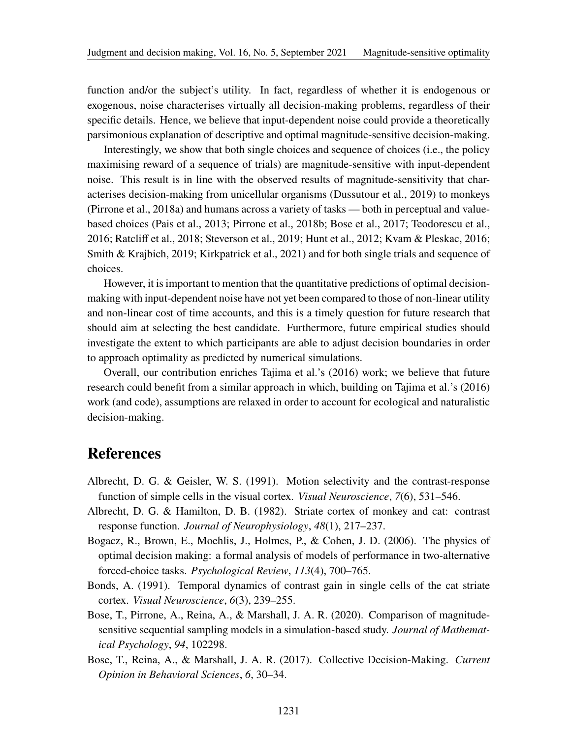function and/or the subject's utility. In fact, regardless of whether it is endogenous or exogenous, noise characterises virtually all decision-making problems, regardless of their specific details. Hence, we believe that input-dependent noise could provide a theoretically parsimonious explanation of descriptive and optimal magnitude-sensitive decision-making.

Interestingly, we show that both single choices and sequence of choices (i.e., the policy maximising reward of a sequence of trials) are magnitude-sensitive with input-dependent noise. This result is in line with the observed results of magnitude-sensitivity that characterises decision-making from unicellular organisms [\(Dussutour et al., 2019\)](#page-11-2) to monkeys [\(Pirrone et al.](#page-12-7), [2018a](#page-12-7)) and humans across a variety of tasks — both in perceptual and valuebased choices [\(Pais et al.](#page-12-8), [2013](#page-12-8); [Pirrone et al., 2018b;](#page-12-5) [Bose et al., 2017;](#page-10-1) [Teodorescu et al.,](#page-12-9) [2016;](#page-12-9) [Ratcliff et al., 2018](#page-12-11); [Steverson et al.](#page-12-6), [2019;](#page-12-6) [Hunt et al.](#page-11-3), [2012;](#page-11-3) [Kvam & Pleskac, 2016](#page-11-4); [Smith & Krajbich](#page-12-12), [2019;](#page-12-12) [Kirkpatrick et al., 2021](#page-11-14)) and for both single trials and sequence of choices.

However, it is important to mention that the quantitative predictions of optimal decisionmaking with input-dependent noise have not yet been compared to those of non-linear utility and non-linear cost of time accounts, and this is a timely question for future research that should aim at selecting the best candidate. Furthermore, future empirical studies should investigate the extent to which participants are able to adjust decision boundaries in order to approach optimality as predicted by numerical simulations.

Overall, our contribution enriches Tajima et al.'s (2016) work; we believe that future research could benefit from a similar approach in which, building on Tajima et al.'s (2016) work (and code), assumptions are relaxed in order to account for ecological and naturalistic decision-making.

### **References**

- <span id="page-10-2"></span>Albrecht, D. G. & Geisler, W. S. (1991). Motion selectivity and the contrast-response function of simple cells in the visual cortex. *Visual Neuroscience*, *7*(6), 531–546.
- <span id="page-10-3"></span>Albrecht, D. G. & Hamilton, D. B. (1982). Striate cortex of monkey and cat: contrast response function. *Journal of Neurophysiology*, *48*(1), 217–237.
- <span id="page-10-0"></span>Bogacz, R., Brown, E., Moehlis, J., Holmes, P., & Cohen, J. D. (2006). The physics of optimal decision making: a formal analysis of models of performance in two-alternative forced-choice tasks. *Psychological Review*, *113*(4), 700–765.
- <span id="page-10-4"></span>Bonds, A. (1991). Temporal dynamics of contrast gain in single cells of the cat striate cortex. *Visual Neuroscience*, *6*(3), 239–255.
- <span id="page-10-5"></span>Bose, T., Pirrone, A., Reina, A., & Marshall, J. A. R. (2020). Comparison of magnitudesensitive sequential sampling models in a simulation-based study. *Journal of Mathematical Psychology*, *94*, 102298.
- <span id="page-10-1"></span>Bose, T., Reina, A., & Marshall, J. A. R. (2017). Collective Decision-Making. *Current Opinion in Behavioral Sciences*, *6*, 30–34.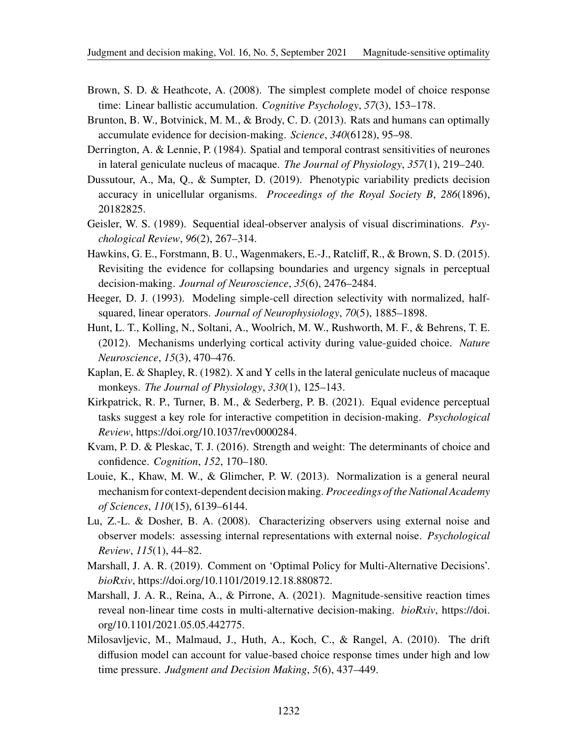- <span id="page-11-13"></span>Brown, S. D. & Heathcote, A. (2008). The simplest complete model of choice response time: Linear ballistic accumulation. *Cognitive Psychology*, *57*(3), 153–178.
- <span id="page-11-6"></span>Brunton, B. W., Botvinick, M. M., & Brody, C. D. (2013). Rats and humans can optimally accumulate evidence for decision-making. *Science*, *340*(6128), 95–98.
- <span id="page-11-10"></span>Derrington, A. & Lennie, P. (1984). Spatial and temporal contrast sensitivities of neurones in lateral geniculate nucleus of macaque. *The Journal of Physiology*, *357*(1), 219–240.
- <span id="page-11-2"></span>Dussutour, A., Ma, Q., & Sumpter, D. (2019). Phenotypic variability predicts decision accuracy in unicellular organisms. *Proceedings of the Royal Society B*, *286*(1896), 20182825.
- <span id="page-11-9"></span>Geisler, W. S. (1989). Sequential ideal-observer analysis of visual discriminations. *Psychological Review*, *96*(2), 267–314.
- <span id="page-11-1"></span>Hawkins, G. E., Forstmann, B. U., Wagenmakers, E.-J., Ratcliff, R., & Brown, S. D. (2015). Revisiting the evidence for collapsing boundaries and urgency signals in perceptual decision-making. *Journal of Neuroscience*, *35*(6), 2476–2484.
- <span id="page-11-11"></span>Heeger, D. J. (1993). Modeling simple-cell direction selectivity with normalized, halfsquared, linear operators. *Journal of Neurophysiology*, *70*(5), 1885–1898.
- <span id="page-11-3"></span>Hunt, L. T., Kolling, N., Soltani, A., Woolrich, M. W., Rushworth, M. F., & Behrens, T. E. (2012). Mechanisms underlying cortical activity during value-guided choice. *Nature Neuroscience*, *15*(3), 470–476.
- <span id="page-11-12"></span>Kaplan, E. & Shapley, R. (1982). X and Y cells in the lateral geniculate nucleus of macaque monkeys. *The Journal of Physiology*, *330*(1), 125–143.
- <span id="page-11-14"></span>Kirkpatrick, R. P., Turner, B. M., & Sederberg, P. B. (2021). Equal evidence perceptual tasks suggest a key role for interactive competition in decision-making. *Psychological Review*, [https://doi.org/10.1037/rev0000284.](https://doi.org/10.1037/rev0000284)
- <span id="page-11-4"></span>Kvam, P. D. & Pleskac, T. J. (2016). Strength and weight: The determinants of choice and confidence. *Cognition*, *152*, 170–180.
- <span id="page-11-8"></span>Louie, K., Khaw, M. W., & Glimcher, P. W. (2013). Normalization is a general neural mechanism for context-dependent decision making. *Proceedings of the National Academy of Sciences*, *110*(15), 6139–6144.
- <span id="page-11-7"></span>Lu, Z.-L. & Dosher, B. A. (2008). Characterizing observers using external noise and observer models: assessing internal representations with external noise. *Psychological Review*, *115*(1), 44–82.
- <span id="page-11-0"></span>Marshall, J. A. R. (2019). Comment on 'Optimal Policy for Multi-Alternative Decisions'. *bioRxiv*, [https://doi.org/10.1101/2019.12.18.880872.](https://doi.org/10.1101/2019.12.18.880872)
- <span id="page-11-5"></span>Marshall, J. A. R., Reina, A., & Pirrone, A. (2021). Magnitude-sensitive reaction times reveal non-linear time costs in multi-alternative decision-making. *bioRxiv*, [https://doi.](https://doi.org/10.1101/2021.05.05.442775) [org/10.1101/2021.05.05.442775.](https://doi.org/10.1101/2021.05.05.442775)
- <span id="page-11-15"></span>Milosavljevic, M., Malmaud, J., Huth, A., Koch, C., & Rangel, A. (2010). The drift diffusion model can account for value-based choice response times under high and low time pressure. *Judgment and Decision Making*, *5*(6), 437–449.